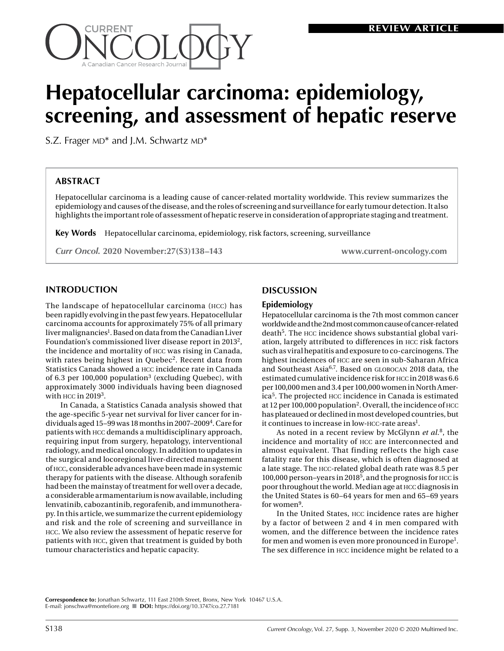

# **Hepatocellular carcinoma: epidemiology, screening, and assessment of hepatic reserve**

S.Z. Frager MD\* and J.M. Schwartz MD\*

# **ABSTRACT**

Hepatocellular carcinoma is a leading cause of cancer-related mortality worldwide. This review summarizes the epidemiology and causes of the disease, and the roles of screening and surveillance for early tumour detection. It also highlights the important role of assessment of hepatic reserve in consideration of appropriate staging and treatment.

**Key Words** Hepatocellular carcinoma, epidemiology, risk factors, screening, surveillance

*Curr Oncol.* **2020 November:27(S3)138–143 www.current-oncology.com**

## **INTRODUCTION**

The landscape of hepatocellular carcinoma (hcc) has been rapidly evolving in the past few years. Hepatocellular carcinoma accounts for approximately 75% of all primary liver malignancies<sup>1</sup>. Based on data from the Canadian Liver Foundation's commissioned liver disease report in 20132, the incidence and mortality of hcc was rising in Canada, with rates being highest in Quebec<sup>2</sup>. Recent data from Statistics Canada showed a hcc incidence rate in Canada of 6.3 per 100,000 population<sup>3</sup> (excluding Quebec), with approximately 3000 individuals having been diagnosed with  $HCC$  in  $2019<sup>3</sup>$ .

In Canada, a Statistics Canada analysis showed that the age-specific 5-year net survival for liver cancer for individuals aged 15–99 was 18 months in 2007–2009<sup>4</sup>. Care for patients with hcc demands a multidisciplinary approach, requiring input from surgery, hepatology, interventional radiology, and medical oncology. In addition to updates in the surgical and locoregional liver-directed management of hcc, considerable advances have been made in systemic therapy for patients with the disease. Although sorafenib had been the mainstay of treatment for well over a decade, a considerable armamentarium is now available, including lenvatinib, cabozantinib, regorafenib, and immunotherapy. In this article, we summarize the current epidemiology and risk and the role of screening and surveillance in hcc. We also review the assessment of hepatic reserve for patients with hcc, given that treatment is guided by both tumour characteristics and hepatic capacity.

## **DISCUSSION**

#### **Epidemiology**

Hepatocellular carcinoma is the 7th most common cancer worldwide and the 2nd most common cause of cancer-related  $death<sup>5</sup>$ . The HCC incidence shows substantial global variation, largely attributed to differences in hcc risk factors such as viral hepatitis and exposure to co-carcinogens. The highest incidences of hcc are seen in sub-Saharan Africa and Southeast Asia<sup>6,7</sup>. Based on GLOBOCAN 2018 data, the estimated cumulative incidence risk for hcc in 2018 was 6.6 per 100,000 men and 3.4 per 100,000 women in North America5. The projected hcc incidence in Canada is estimated at 12 per 100,000 population<sup>2</sup>. Overall, the incidence of  $HCC$ has plateaued or declined in most developed countries, but it continues to increase in low-HCC-rate areas<sup>1</sup>.

As noted in a recent review by McGlynn *et al.*8, the incidence and mortality of hcc are interconnected and almost equivalent. That finding reflects the high case fatality rate for this disease, which is often diagnosed at a late stage. The hcc-related global death rate was 8.5 per 100,000 person–years in 20185, and the prognosis for hcc is poor throughout the world. Median age at hcc diagnosis in the United States is 60–64 years for men and 65–69 years for women<sup>9</sup>.

In the United States, hcc incidence rates are higher by a factor of between 2 and 4 in men compared with women, and the difference between the incidence rates for men and women is even more pronounced in Europe<sup>1</sup>. The sex difference in hcc incidence might be related to a

**Correspondence to:** Jonathan Schwartz, 111 East 210th Street, Bronx, New York 10467 U.S.A. E-mail: [jonschwa@montefiore.org](mailto:jonschwa@montefiore.org) n **DOI:** https://doi.org/10.3747/co.27.7181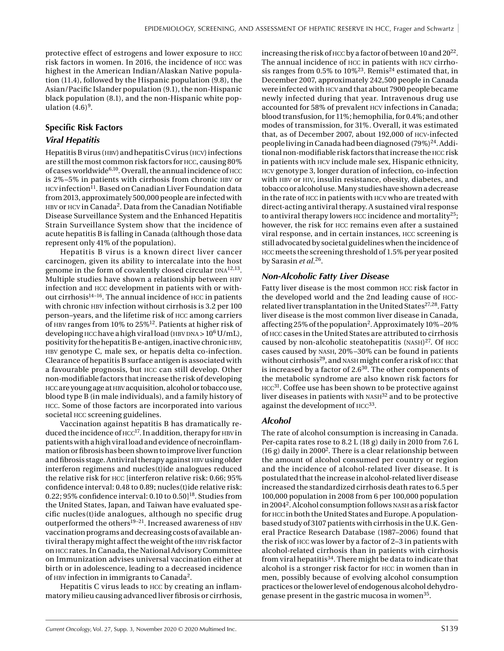protective effect of estrogens and lower exposure to hcc risk factors in women. In 2016, the incidence of hcc was highest in the American Indian/Alaskan Native population (11.4), followed by the Hispanic population (9.8), the Asian/Pacific Islander population (9.1), the non-Hispanic black population (8.1), and the non-Hispanic white population  $(4.6)^9$ .

## **Specific Risk Factors**

## *Viral Hepatitis*

Hepatitis B virus (HBV) and hepatitis C virus (HCV) infections are still the most common risk factors for hcc, causing 80% of cases worldwide $6,10$ . Overall, the annual incidence of  $HCC$ is 2%–5% in patients with cirrhosis from chronic hbv or HCV infection<sup>11</sup>. Based on Canadian Liver Foundation data from 2013, approximately 500,000 people are infected with HBV or HCV in Canada<sup>2</sup>. Data from the Canadian Notifiable Disease Surveillance System and the Enhanced Hepatitis Strain Surveillance System show that the incidence of acute hepatitis B is falling in Canada (although those data represent only 41% of the population).

Hepatitis B virus is a known direct liver cancer carcinogen, given its ability to intercalate into the host genome in the form of covalently closed circular  $DNA^{12,13}$ . Multiple studies have shown a relationship between HBV infection and hcc development in patients with or without cirrhosis $14-16$ . The annual incidence of  $HCC$  in patients with chronic HBV infection without cirrhosis is 3.2 per 100 person–years, and the lifetime risk of hcc among carriers of hbv ranges from 10% to 25%12. Patients at higher risk of developing HCC have a high viral load (HBV DNA >  $10^6$  U/mL),  $\mu$  positivity for the hepatitis B e-antigen, inactive chronic HBV, HBV genotype C, male sex, or hepatis delta co-infection. Clearance of hepatitis B surface antigen is associated with a favourable prognosis, but hcc can still develop. Other non-modifiable factors that increase the risk of developing HCC are young age at HBV acquisition, alcohol or tobacco use, blood type B (in male individuals), and a family history of hcc. Some of those factors are incorporated into various societal hcc screening guidelines.

Vaccination against hepatitis B has dramatically reduced the incidence of  $HCC^{17}$ . In addition, therapy for HBV in patients with a high viral load and evidence of necroinflammation or fibrosis has been shown to improve liver function and fibrosis stage. Antiviral therapy against HBV using older interferon regimens and nucles(t)ide analogues reduced the relative risk for hcc [interferon relative risk: 0.66; 95% confidence interval: 0.48 to 0.89; nucles(t)ide relative risk: 0.22; 95% confidence interval: 0.10 to 0.50] $^{18}$ . Studies from the United States, Japan, and Taiwan have evaluated specific nucles(t)ide analogues, although no specific drug outperformed the others<sup>19-21</sup>. Increased awareness of HBV vaccination programs and decreasing costs of available antiviral therapy might affect the weight of the HBV risk factor on hcc rates. In Canada, the National Advisory Committee on Immunization advises universal vaccination either at birth or in adolescence, leading to a decreased incidence of hbv infection in immigrants to Canada2.

Hepatitis C virus leads to hcc by creating an inflammatory milieu causing advanced liver fibrosis or cirrhosis, increasing the risk of HCC by a factor of between 10 and 20<sup>22</sup>. The annual incidence of hcc in patients with hcv cirrhosis ranges from 0.5% to  $10\%^{23}$ . Remis<sup>24</sup> estimated that, in December 2007, approximately 242,500 people in Canada were infected with hcv and that about 7900 people became newly infected during that year. Intravenous drug use accounted for 58% of prevalent hcv infections in Canada; blood transfusion, for 11%; hemophilia, for 0.4%; and other modes of transmission, for 31%. Overall, it was estimated that, as of December 2007, about 192,000 of hcv-infected people living in Canada had been diagnosed (79%)<sup>24</sup>. Additional non-modifiable risk factors that increase the hcc risk in patients with hcv include male sex, Hispanic ethnicity, hcv genotype 3, longer duration of infection, co-infection with HBV or HIV, insulin resistance, obesity, diabetes, and tobacco or alcohol use. Many studies have shown a decrease in the rate of hcc in patients with hcv who are treated with direct-acting antiviral therapy. A sustained viral response to antiviral therapy lowers  $HCC$  incidence and mortality<sup>25</sup>; however, the risk for hcc remains even after a sustained viral response, and in certain instances, hcc screening is still advocated by societal guidelines when the incidence of hcc meets the screening threshold of 1.5% per year posited by Sarasin *et al.*26.

## *Non-Alcoholic Fatty Liver Disease*

Fatty liver disease is the most common hcc risk factor in the developed world and the 2nd leading cause of hccrelated liver transplantation in the United States<sup>27,28</sup>. Fatty liver disease is the most common liver disease in Canada, affecting 25% of the population<sup>2</sup>. Approximately 10%–20% of hcc cases in the United States are attributed to cirrhosis caused by non-alcoholic steatohepatitis  $(NASH)^{27}$ . Of HCC cases caused by nash, 20%–30% can be found in patients without cirrhosis<sup>29</sup>, and NASH might confer a risk of HCC that is increased by a factor of  $2.6^{30}$ . The other components of the metabolic syndrome are also known risk factors for HCC<sup>31</sup>. Coffee use has been shown to be protective against liver diseases in patients with  $NASH^{32}$  and to be protective against the development of  $HCC^{33}$ .

#### *Alcohol*

The rate of alcohol consumption is increasing in Canada. Per-capita rates rose to 8.2 L (18 g) daily in 2010 from 7.6 L  $(16 g)$  daily in 2000<sup>2</sup>. There is a clear relationship between the amount of alcohol consumed per country or region and the incidence of alcohol-related liver disease. It is postulated that the increase in alcohol-related liver disease increased the standardized cirrhosis death rates to 6.5 per 100,000 population in 2008 from 6 per 100,000 population in 2004<sup>2</sup>. Alcohol consumption follows NASH as a risk factor for hcc in both the United States and Europe. A populationbased study of 3107 patients with cirrhosis in the U.K. General Practice Research Database (1987–2006) found that the risk of hcc was lower by a factor of 2–3 in patients with alcohol-related cirrhosis than in patients with cirrhosis from viral hepatitis<sup>34</sup>. There might be data to indicate that alcohol is a stronger risk factor for hcc in women than in men, possibly because of evolving alcohol consumption practices or the lower level of endogenous alcohol dehydrogenase present in the gastric mucosa in women35.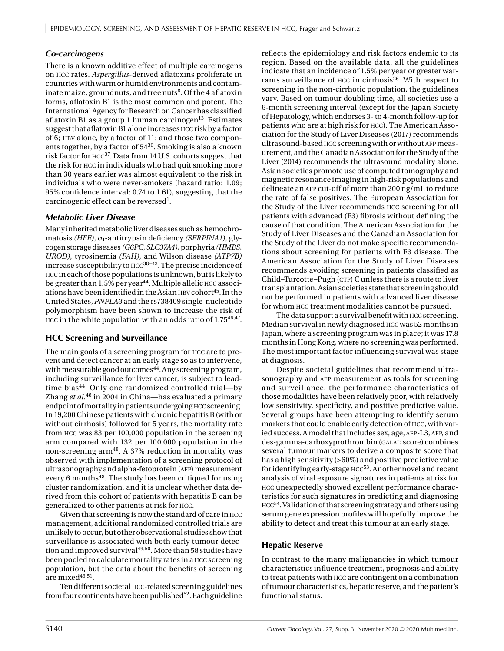# *Co-carcinogens*

There is a known additive effect of multiple carcinogens on hcc rates. *Aspergillus-*derived aflatoxins proliferate in countries with warm or humid environments and contaminate maize, groundnuts, and tree nuts<sup>8</sup>. Of the 4 aflatoxin forms, aflatoxin B1 is the most common and potent. The International Agency for Research on Cancer has classified aflatoxin B1 as a group 1 human carcinogen<sup>13</sup>. Estimates suggest that aflatoxinB1 alone increases hcc risk by a factor of 6; HBV alone, by a factor of 11; and those two components together, by a factor of 5436. Smoking is also a known risk factor for  $HCC^{37}$ . Data from 14 U.S. cohorts suggest that the risk for hcc in individuals who had quit smoking more than 30 years earlier was almost equivalent to the risk in individuals who were never-smokers (hazard ratio: 1.09; 95% confidence interval: 0.74 to 1.61), suggesting that the carcinogenic effect can be reversed<sup>1</sup>.

## *Metabolic Liver Disease*

Many inherited metabolic liver diseases such as hemochromatosis *(HFE)*, α<sub>1</sub>-antitrypsin deficiency *(SERPINA1)*, glycogen storage diseases *(G6PC, SLC37A4),* porphyria *(HMBS, UROD),* tyrosinemia *(FAH),* and Wilson disease *(ATP7B)* increase susceptibility to  $HCC^{38-43}$ . The precise incidence of hcc in each of those populations is unknown, but is likely to be greater than  $1.5\%$  per year<sup>44</sup>. Multiple allelic HCC associations have been identified in the Asian HBV cohort<sup>45</sup>. In the United States, *PNPLA3* and the rs738409 single-nucleotide polymorphism have been shown to increase the risk of HCC in the white population with an odds ratio of 1.7546,47.

# **HCC Screening and Surveillance**

The main goals of a screening program for hcc are to prevent and detect cancer at an early stage so as to intervene, with measurable good outcomes<sup>44</sup>. Any screening program, including surveillance for liver cancer, is subject to leadtime bias<sup>44</sup>. Only one randomized controlled trial-by Zhang *et al.*48 in 2004 in China—has evaluated a primary endpoint of mortality in patients undergoing **HCC** screening. In 19,200 Chinese patients with chronic hepatitis B (with or without cirrhosis) followed for 5 years, the mortality rate from hcc was 83 per 100,000 population in the screening arm compared with 132 per 100,000 population in the non-screening arm48. A 37% reduction in mortality was observed with implementation of a screening protocol of ultrasonography and alpha-fetoprotein (afp) measurement every 6 months<sup>48</sup>. The study has been critiqued for using cluster randomization, and it is unclear whether data derived from this cohort of patients with hepatitis B can be generalized to other patients at risk for hcc.

Given that screening is now the standard of care in hcc management, additional randomized controlled trials are unlikely to occur, but other observational studies show that surveillance is associated with both early tumour detection and improved survival<sup>49,50</sup>. More than 58 studies have been pooled to calculate mortality rates in a hcc screening population, but the data about the benefits of screening are mixed $49,51$ .

Ten different societal hcc-related screening guidelines from four continents have been published<sup>52</sup>. Each guideline

reflects the epidemiology and risk factors endemic to its region. Based on the available data, all the guidelines indicate that an incidence of 1.5% per year or greater warrants surveillance of  $HCC$  in cirrhosis<sup>26</sup>. With respect to screening in the non-cirrhotic population, the guidelines vary. Based on tumour doubling time, all societies use a 6-month screening interval (except for the Japan Society of Hepatology, which endorses 3- to 4-month follow-up for patients who are at high risk for hcc). The American Association for the Study of Liver Diseases (2017) recommends ultrasound-based HCC screening with or without AFP measurement, and the Canadian Association for the Study of the Liver (2014) recommends the ultrasound modality alone. Asian societies promote use of computed tomography and magnetic resonance imaging in high-risk populations and delineate an afp cut-off of more than 200 ng/mL to reduce the rate of false positives. The European Association for the Study of the Liver recommends hcc screening for all patients with advanced (F3) fibrosis without defining the cause of that condition. The American Association for the Study of Liver Diseases and the Canadian Association for the Study of the Liver do not make specific recommendations about screening for patients with F3 disease. The American Association for the Study of Liver Diseases recommends avoiding screening in patients classified as Child–Turcotte–Pugh (CTP) C unless there is a route to liver transplantation. Asian societies state that screening should not be performed in patients with advanced liver disease for whom hcc treatment modalities cannot be pursued.

The data support a survival benefit with HCC screening. Median survival in newly diagnosed hcc was 52 months in Japan, where a screening program was in place; it was 17.8 months in Hong Kong, where no screening was performed. The most important factor influencing survival was stage at diagnosis.

Despite societal guidelines that recommend ultrasonography and AFP measurement as tools for screening and surveillance, the performance characteristics of those modalities have been relatively poor, with relatively low sensitivity, specificity, and positive predictive value. Several groups have been attempting to identify serum markers that could enable early detection of hcc, with varied success. A model that includes sex, age, AFP-L3, AFP, and des-gamma-carboxyprothrombin (GALAD score) combines several tumour markers to derive a composite score that has a high sensitivity (>60%) and positive predictive value for identifying early-stage HCC<sup>53</sup>. Another novel and recent analysis of viral exposure signatures in patients at risk for hcc unexpectedly showed excellent performance characteristics for such signatures in predicting and diagnosing hcc54. Validation of that screening strategy and others using serum gene expression profiles will hopefully improve the ability to detect and treat this tumour at an early stage.

# **Hepatic Reserve**

In contrast to the many malignancies in which tumour characteristics influence treatment, prognosis and ability to treat patients with hcc are contingent on a combination of tumour characteristics, hepatic reserve, and the patient's functional status.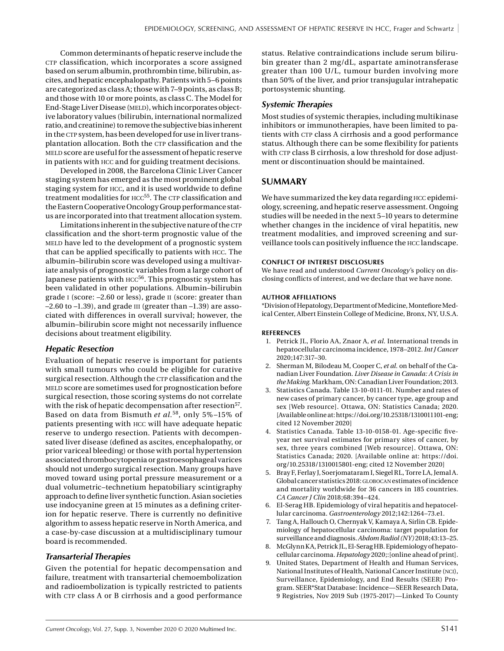Common determinants of hepatic reserve include the CTP classification, which incorporates a score assigned based on serum albumin, prothrombin time, bilirubin, ascites, and hepatic encephalopathy. Patients with 5–6 points are categorized as class A; those with 7–9 points, as class B; and those with 10 or more points, as class C. The Model for End-Stage Liver Disease (MELD), which incorporates objective laboratory values (bilirubin, international normalized ratio, and creatinine) to remove the subjective bias inherent in the CTP system, has been developed for use in liver transplantation allocation. Both the CTP classification and the meld score are useful for the assessment of hepatic reserve in patients with hcc and for guiding treatment decisions.

Developed in 2008, the Barcelona Clinic Liver Cancer staging system has emerged as the most prominent global staging system for hcc, and it is used worldwide to define treatment modalities for HCC<sup>55</sup>. The CTP classification and the Eastern Cooperative Oncology Group performance status are incorporated into that treatment allocation system.

Limitations inherent in the subjective nature of the CTP classification and the short-term prognostic value of the meld have led to the development of a prognostic system that can be applied specifically to patients with hcc. The albumin–bilirubin score was developed using a multivariate analysis of prognostic variables from a large cohort of Japanese patients with  $HCC^{56}$ . This prognostic system has been validated in other populations. Albumin–bilirubin grade i (score: –2.60 or less), grade ii (score: greater than –2.60 to –1.39), and grade iii (greater than –1.39) are associated with differences in overall survival; however, the albumin–bilirubin score might not necessarily influence decisions about treatment eligibility.

#### *Hepatic Resection*

Evaluation of hepatic reserve is important for patients with small tumours who could be eligible for curative surgical resection. Although the CTP classification and the meld score are sometimes used for prognostication before surgical resection, those scoring systems do not correlate with the risk of hepatic decompensation after resection<sup>57</sup>. Based on data from Bismuth *et al.*58, only 5% –15% of patients presenting with hcc will have adequate hepatic reserve to undergo resection. Patients with decompensated liver disease (defined as ascites, encephalopathy, or prior variceal bleeding) or those with portal hypertension associated thrombocytopenia or gastroesophageal varices should not undergo surgical resection. Many groups have moved toward using portal pressure measurement or a dual volumetric–technetium hepatobiliary scintigraphy approach to define liver synthetic function. Asian societies use indocyanine green at 15 minutes as a defining criterion for hepatic reserve. There is currently no definitive algorithm to assess hepatic reserve in North America, and a case-by-case discussion at a multidisciplinary tumour board is recommended.

#### *Transarterial Therapies*

Given the potential for hepatic decompensation and failure, treatment with transarterial chemoembolization and radioembolization is typically restricted to patients with CTP class A or B cirrhosis and a good performance

status. Relative contraindications include serum bilirubin greater than 2 mg/dL, aspartate aminotransferase greater than 100 U/L, tumour burden involving more than 50% of the liver, and prior transjugular intrahepatic portosystemic shunting.

#### *Systemic Therapies*

Most studies of systemic therapies, including multikinase inhibitors or immunotherapies, have been limited to patients with CTP class A cirrhosis and a good performance status. Although there can be some flexibility for patients with CTP class B cirrhosis, a low threshold for dose adjustment or discontinuation should be maintained.

#### **SUMMARY**

We have summarized the key data regarding HCC epidemiology, screening, and hepatic reserve assessment. Ongoing studies will be needed in the next 5–10 years to determine whether changes in the incidence of viral hepatitis, new treatment modalities, and improved screening and surveillance tools can positively influence the hcc landscape.

#### **CONFLICT OF INTEREST DISCLOSURES**

We have read and understood *Current Oncology'*s policy on disclosing conflicts of interest, and we declare that we have none.

#### **AUTHOR AFFILIATIONS**

\*Division of Hepatology, Department of Medicine, Montefiore Medical Center, Albert Einstein College of Medicine, Bronx, NY, U.S.A.

#### **REFERENCES**

- 1. Petrick JL, Florio AA, Znaor A, *et al.* International trends in hepatocellular carcinoma incidence, 1978–2012. *Int J Cancer* 2020;147:317–30.
- 2. Sherman M, Bilodeau M, Cooper C, *et al.* on behalf of the Canadian Liver Foundation. *Liver Disease in Canada: A Crisis in the Making.* Markham, ON: Canadian Liver Foundation; 2013.
- 3. Statistics Canada. Table 13-10-0111-01. Number and rates of new cases of primary cancer, by cancer type, age group and sex [Web resource]. Ottawa, ON: Statistics Canada; 2020. [Available online at: [https://doi.org/10.25318/1310011101-eng;](https://doi.org/10.25318/1310011101-eng) cited 12 November 2020]
- 4. Statistics Canada. Table 13-10-0158-01. Age-specific fiveyear net survival estimates for primary sites of cancer, by sex, three years combined [Web resource]. Ottawa, ON: Statistics Canada; 2020. [Available online at: [https://doi.](https://doi.org/10.25318/1310015801-eng) [org/10.25318/1310015801-eng;](https://doi.org/10.25318/1310015801-eng) cited 12 November 2020]
- 5. Bray F, Ferlay J, Soerjomataram I, Siegel RL, Torre LA, Jemal A. Global cancer statistics 2018: GLOBOCAN estimates of incidence and mortality worldwide for 36 cancers in 185 countries. *CA Cancer J Clin* 2018;68:394–424.
- 6. El-Serag HB. Epidemiology of viral hepatitis and hepatocellular carcinoma. *Gastroenterology* 2012;142:1264–73.e1.
- 7. Tang A, Hallouch O, Chernyak V, Kamaya A, Sirlin CB. Epidemiology of hepatocellular carcinoma: target population for surveillance and diagnosis. *Abdom Radiol (NY)* 2018;43:13–25.
- 8. McGlynn KA, Petrick JL, El-Serag HB. Epidemiology of hepatocellular carcinoma. *Hepatology* 2020;:[online ahead of print].
- 9. United States, Department of Health and Human Services, National Institutes of Health, National Cancer Institute (nci), Surveillance, Epidemiology, and End Results (SEER) Program. SEER\*Stat Database: Incidence—SEER Research Data, 9 Registries, Nov 2019 Sub (1975-2017)—Linked To County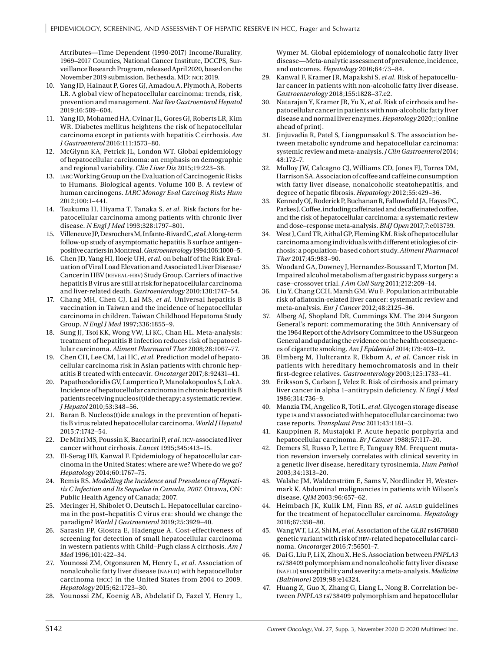Attributes—Time Dependent (1990-2017) Income/Rurality, 1969–2017 Counties, National Cancer Institute, DCCPS, Surveillance Research Program, released April 2020, based on the November 2019 submission. Bethesda, MD: nci; 2019.

- 10. Yang JD, Hainaut P, Gores GJ, Amadou A, Plymoth A, Roberts LR. A global view of hepatocellular carcinoma: trends, risk, prevention and management. *Nat Rev Gastroenterol Hepatol* 2019;16:589–604.
- 11. Yang JD, Mohamed HA, Cvinar JL, Gores GJ, Roberts LR, Kim WR. Diabetes mellitus heightens the risk of hepatocellular carcinoma except in patients with hepatitis C cirrhosis. *Am J Gastroenterol* 2016;111:1573–80.
- 12. McGlynn KA, Petrick JL, London WT. Global epidemiology of hepatocellular carcinoma: an emphasis on demographic and regional variability. *Clin Liver Dis* 2015;19:223–38.
- 13. iarc Working Group on the Evaluation of Carcinogenic Risks to Humans. Biological agents. Volume 100 B. A review of human carcinogens. *IARC Monogr Eval Carcinog Risks Hum* 2012;100:1–441.
- 14. Tsukuma H, Hiyama T, Tanaka S, *et al.* Risk factors for hepatocellular carcinoma among patients with chronic liver disease. *N Engl J Med* 1993;328:1797–801.
- 15. Villeneuve JP, Desrochers M, Infante-Rivard C, *et al.* A long-term follow-up study of asymptomatic hepatitis B surface antigen– positive carriers in Montreal. *Gastroenterology* 1994;106:1000–5.
- 16. Chen JD, Yang HI, Iloeje UH, *et al.* on behalf of the Risk Evaluation of Viral Load Elevation and Associated Liver Disease/ Cancer in HBV (reveal-hbv) Study Group. Carriers of inactive hepatitis B virus are still at risk for hepatocellular carcinoma and liver-related death. *Gastroenterology* 2010;138:1747–54.
- 17. Chang MH, Chen CJ, Lai MS, *et al.* Universal hepatitis B vaccination in Taiwan and the incidence of hepatocellular carcinoma in children. Taiwan Childhood Hepatoma Study Group. *N Engl J Med* 1997;336:1855–9.
- 18. Sung JJ, Tsoi KK, Wong VW, Li KC, Chan HL. Meta-analysis: treatment of hepatitis B infection reduces risk of hepatocellular carcinoma. *Aliment Pharmacol Ther* 2008;28:1067–77.
- 19. Chen CH, Lee CM, Lai HC, *et al.* Prediction model of hepatocellular carcinoma risk in Asian patients with chronic hepatitis B treated with entecavir. *Oncotarget* 2017;8:92431–41.
- 20. Papatheodoridis GV, Lampertico P, Manolakopoulos S, Lok A. Incidence of hepatocellular carcinoma in chronic hepatitisB patients receiving nucleos(t)ide therapy: a systematic review. *J Hepatol* 2010;53:348–56.
- 21. Baran B. Nucleos(t)ide analogs in the prevention of hepatitis B virus related hepatocellular carcinoma. *World J Hepatol* 2015;7:1742–54.
- 22. De Mitri MS, Poussin K, Baccarini P, *et al.* hcv-associated liver cancer without cirrhosis. *Lancet* 1995;345:413–15.
- 23. El-Serag HB, Kanwal F. Epidemiology of hepatocellular carcinoma in the United States: where are we? Where do we go? *Hepatology* 2014;60:1767–75.
- 24. Remis RS. *Modelling the Incidence and Prevalence of Hepatitis C Infection and Its Sequelae in Canada, 2007.* Ottawa, ON: Public Health Agency of Canada; 2007.
- 25. Meringer H, Shibolet O, Deutsch L. Hepatocellular carcinoma in the post–hepatitis C virus era: should we change the paradigm? *World J Gastroenterol* 2019;25:3929–40.
- 26. Sarasin FP, Giostra E, Hadengue A. Cost-effectiveness of screening for detection of small hepatocellular carcinoma in western patients with Child–Pugh class A cirrhosis. *Am J Med* 1996;101:422–34.
- 27. Younossi ZM, Otgonsuren M, Henry L, *et al.* Association of nonalcoholic fatty liver disease (NAFLD) with hepatocellular carcinoma (hcc) in the United States from 2004 to 2009. *Hepatology* 2015;62:1723–30.
- 28. Younossi ZM, Koenig AB, Abdelatif D, Fazel Y, Henry L,

Wymer M. Global epidemiology of nonalcoholic fatty liver disease—Meta-analytic assessment of prevalence, incidence, and outcomes. *Hepatology* 2016;64:73–84.

- 29. Kanwal F, Kramer JR, Mapakshi S, *et al.* Risk of hepatocellular cancer in patients with non-alcoholic fatty liver disease. *Gastroenterology* 2018;155:1828–37.e2.
- 30. Natarajan Y, Kramer JR, Yu X, *et al.* Risk of cirrhosis and hepatocellular cancer in patients with non-alcoholic fatty liver disease and normal liver enzymes. *Hepatology* 2020;:[online ahead of print].
- 31. Jinjuvadia R, Patel S, Liangpunsakul S. The association between metabolic syndrome and hepatocellular carcinoma: systemic review and meta-analysis. *J Clin Gastroenterol* 2014; 48:172–7.
- 32. Molloy JW, Calcagno CJ, Williams CD, Jones FJ, Torres DM, Harrison SA. Association of coffee and caffeine consumption with fatty liver disease, nonalcoholic steatohepatitis, and degree of hepatic fibrosis. *Hepatology* 2012;55:429–36.
- 33. Kennedy OJ, Roderick P, Buchanan R, Fallowfield JA, Hayes PC, Parkes J. Coffee, including caffeinated and decaffeinated coffee, and the risk of hepatocellular carcinoma: a systematic review and dose–response meta-analysis. *BMJ Open* 2017;7:e013739.
- 34. West J, Card TR, Aithal GP, Fleming KM. Risk of hepatocellular carcinoma among individuals with different etiologies of cirrhosis: a population-based cohort study. *Aliment Pharmacol Ther* 2017;45:983–90.
- 35. Woodard GA, Downey J, Hernandez-Boussard T, Morton JM. Impaired alcohol metabolism after gastric bypass surgery: a case–crossover trial. *J Am Coll Surg* 2011;212:209–14.
- 36. Liu Y, Chang CCH, Marsh GM, Wu F. Population attributable risk of aflatoxin-related liver cancer: systematic review and meta-analysis. *Eur J Cancer* 2012;48:2125–36.
- 37. Alberg AJ, Shopland DR, Cummings KM. The 2014 Surgeon General's report: commemorating the 50th Anniversary of the 1964 Report of the Advisory Committee to the US Surgeon General and updating the evidence on the health consequences of cigarette smoking. *Am J Epidemiol* 2014;179:403–12.
- 38. Elmberg M, Hultcrantz R, Ekbom A, *et al.* Cancer risk in patients with hereditary hemochromatosis and in their first-degree relatives. *Gastroenterology* 2003;125:1733–41.
- 39. Eriksson S, Carlson J, Velez R. Risk of cirrhosis and primary liver cancer in alpha 1–antitrypsin deficiency. *N Engl J Med* 1986;314:736–9.
- 40. Manzia TM, Angelico R, Toti L, *et al.* Glycogen storage disease type ia and vi associated with hepatocellular carcinoma: two case reports. *Transplant Proc* 2011;43:1181–3.
- 41. Kauppinen R, Mustajoki P. Acute hepatic porphyria and hepatocellular carcinoma. *Br J Cancer* 1988;57:117–20.
- 42. Demers SI, Russo P, Lettre F, Tanguay RM. Frequent mutation reversion inversely correlates with clinical severity in a genetic liver disease, hereditary tyrosinemia. *Hum Pathol* 2003;34:1313–20.
- 43. Walshe JM, Waldenström E, Sams V, Nordlinder H, Westermark K. Abdominal malignancies in patients with Wilson's disease. *QJM* 2003;96:657–62.
- 44. Heimbach JK, Kulik LM, Finn RS, et al. AASLD guidelines for the treatment of hepatocellular carcinoma. *Hepatology* 2018;67:358–80.
- 45. Wang WT, Li Z, Shi M, *et al.* Association of the *GLB1* rs4678680 genetic variant with risk of hbv-related hepatocellular carcinoma. *Oncotarget* 2016;7:56501–7.
- 46. Dai G, Liu P, Li X, Zhou X, He S. Association between *PNPLA3* rs738409 polymorphism and nonalcoholic fatty liver disease (NAFLD) susceptibility and severity: a meta-analysis. *Medicine (Baltimore)* 2019;98:e14324.
- 47. Huang Z, Guo X, Zhang G, Liang L, Nong B. Correlation between *PNPLA3* rs738409 polymorphism and hepatocellular